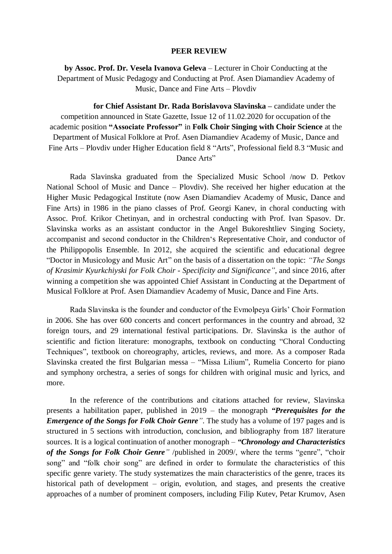## **PEER REVIEW**

**by Assoc. Prof. Dr. Vesela Ivanova Geleva** – Lecturer in Choir Conducting at the Department of Music Pedagogy and Conducting at Prof. Asen Diamandiev Academy of Music, Dance and Fine Arts – Plovdiv

 **for Chief Assistant Dr. Rada Borislavova Slavinska –** candidate under the competition announced in State Gazette, Issue 12 of 11.02.2020 for occupation of the academic position **"Associate Professor"** in **Folk Choir Singing with Choir Science** at the Department of Musical Folklore at Prof. Asen Diamandiev Academy of Music, Dance and Fine Arts – Plovdiv under Higher Education field 8 "Arts", Professional field 8.3 "Music and Dance Arts"

Rada Slavinska graduated from the Specialized Music School /now D. Petkov National School of Music and Dance – Plovdiv). She received her higher education at the Higher Music Pedagogical Institute (now Asen Diamandiev Academy of Music, Dance and Fine Arts) in 1986 in the piano classes of Prof. Georgi Kanev, in choral conducting with Assoc. Prof. Krikor Chetinyan, and in orchestral conducting with Prof. Ivan Spasov. Dr. Slavinska works as an assistant conductor in the Angel Bukoreshtliev Singing Society, accompanist and second conductor in the Children"s Representative Choir, and conductor of the Philippopolis Ensemble. In 2012, she acquired the scientific and educational degree "Doctor in Musicology and Music Art" on the basis of a dissertation on the topic: *"The Songs of Krasimir Kyurkchiyski for Folk Choir - Specificity and Significance"*, and since 2016, after winning a competition she was appointed Chief Assistant in Conducting at the Department of Musical Folklore at Prof. Asen Diamandiev Academy of Music, Dance and Fine Arts.

Rada Slavinska is the founder and conductor of the Evmolpeya Girls" Choir Formation in 2006. She has over 600 concerts and concert performances in the country and abroad, 32 foreign tours, and 29 international festival participations. Dr. Slavinska is the author of scientific and fiction literature: monographs, textbook on conducting "Choral Conducting Techniques", textbook on choreography, articles, reviews, and more. As a composer Rada Slavinska created the first Bulgarian messa – "Missa Lilium", Rumelia Concerto for piano and symphony orchestra, a series of songs for children with original music and lyrics, and more.

In the reference of the contributions and citations attached for review, Slavinska presents a habilitation paper, published in 2019 – the monograph *"Prerequisites for the Emergence of the Songs for Folk Choir Genre*<sup>"</sup>. The study has a volume of 197 pages and is structured in 5 sections with introduction, conclusion, and bibliography from 187 literature sources. It is a logical continuation of another monograph – *"Chronology and Characteristics of the Songs for Folk Choir Genre"* /published in 2009/, where the terms "genre", "choir song" and "folk choir song" are defined in order to formulate the characteristics of this specific genre variety. The study systematizes the main characteristics of the genre, traces its historical path of development – origin, evolution, and stages, and presents the creative approaches of a number of prominent composers, including Filip Kutev, Petar Krumov, Asen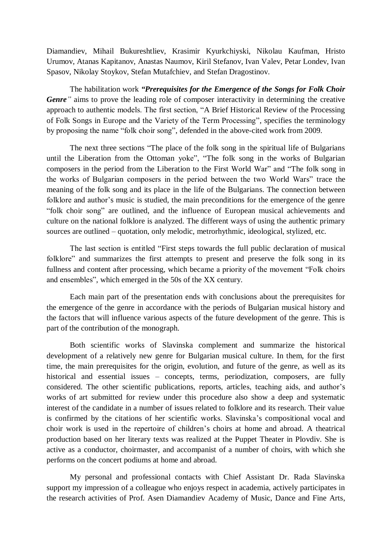Diamandiev, Mihail Bukureshtliev, Krasimir Kyurkchiyski, Nikolau Kaufman, Hristo Urumov, Atanas Kapitanov, Anastas Naumov, Kiril Stefanov, Ivan Valev, Petar Londev, Ivan Spasov, Nikolay Stoykov, Stefan Mutafchiev, and Stefan Dragostinov.

The habilitation work *"Prerequisites for the Emergence of the Songs for Folk Choir Genre*<sup>"</sup> aims to prove the leading role of composer interactivity in determining the creative approach to authentic models. The first section, "A Brief Historical Review of the Processing of Folk Songs in Europe and the Variety of the Term Processing", specifies the terminology by proposing the name "folk choir song", defended in the above-cited work from 2009.

The next three sections "The place of the folk song in the spiritual life of Bulgarians until the Liberation from the Ottoman yoke", "The folk song in the works of Bulgarian composers in the period from the Liberation to the First World War" and "The folk song in the works of Bulgarian composers in the period between the two World Wars" trace the meaning of the folk song and its place in the life of the Bulgarians. The connection between folklore and author's music is studied, the main preconditions for the emergence of the genre "folk choir song" are outlined, and the influence of European musical achievements and culture on the national folklore is analyzed. The different ways of using the authentic primary sources are outlined – quotation, only melodic, metrorhythmic, ideological, stylized, etc.

The last section is entitled "First steps towards the full public declaration of musical folklore" and summarizes the first attempts to present and preserve the folk song in its fullness and content after processing, which became a priority of the movement "Folk choirs and ensembles", which emerged in the 50s of the XX century.

Each main part of the presentation ends with conclusions about the prerequisites for the emergence of the genre in accordance with the periods of Bulgarian musical history and the factors that will influence various aspects of the future development of the genre. This is part of the contribution of the monograph.

Both scientific works of Slavinska complement and summarize the historical development of a relatively new genre for Bulgarian musical culture. In them, for the first time, the main prerequisites for the origin, evolution, and future of the genre, as well as its historical and essential issues – concepts, terms, periodization, composers, are fully considered. The other scientific publications, reports, articles, teaching aids, and author"s works of art submitted for review under this procedure also show a deep and systematic interest of the candidate in a number of issues related to folklore and its research. Their value is confirmed by the citations of her scientific works. Slavinska's compositional vocal and choir work is used in the repertoire of children"s choirs at home and abroad. A theatrical production based on her literary texts was realized at the Puppet Theater in Plovdiv. She is active as a conductor, choirmaster, and accompanist of a number of choirs, with which she performs on the concert podiums at home and abroad.

My personal and professional contacts with Chief Assistant Dr. Rada Slavinska support my impression of a colleague who enjoys respect in academia, actively participates in the research activities of Prof. Asen Diamandiev Academy of Music, Dance and Fine Arts,